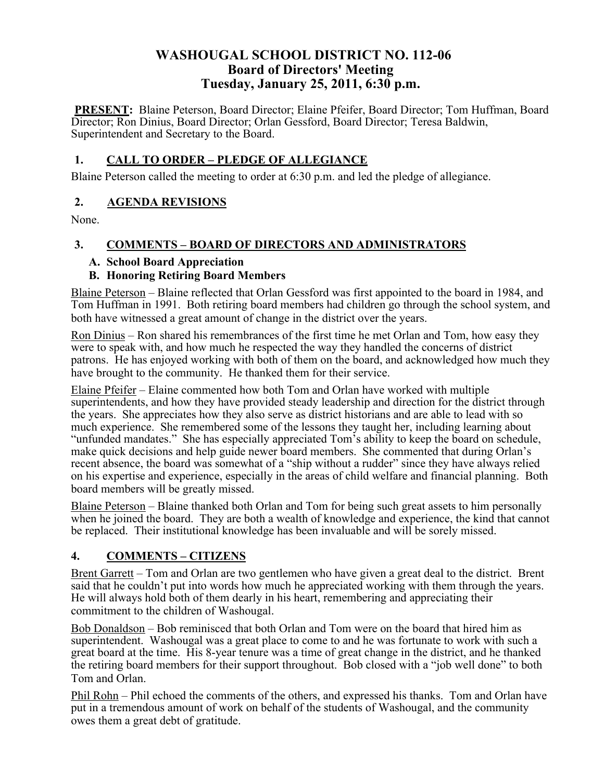## **WASHOUGAL SCHOOL DISTRICT NO. 112-06 Board of Directors' Meeting Tuesday, January 25, 2011, 6:30 p.m.**

**PRESENT:** Blaine Peterson, Board Director; Elaine Pfeifer, Board Director; Tom Huffman, Board Director; Ron Dinius, Board Director; Orlan Gessford, Board Director; Teresa Baldwin, Superintendent and Secretary to the Board.

### **1. CALL TO ORDER – PLEDGE OF ALLEGIANCE**

Blaine Peterson called the meeting to order at 6:30 p.m. and led the pledge of allegiance.

### **2. AGENDA REVISIONS**

None.

### **3. COMMENTS – BOARD OF DIRECTORS AND ADMINISTRATORS**

### **A. School Board Appreciation**

### **B. Honoring Retiring Board Members**

Blaine Peterson – Blaine reflected that Orlan Gessford was first appointed to the board in 1984, and Tom Huffman in 1991. Both retiring board members had children go through the school system, and both have witnessed a great amount of change in the district over the years.

Ron Dinius – Ron shared his remembrances of the first time he met Orlan and Tom, how easy they were to speak with, and how much he respected the way they handled the concerns of district patrons. He has enjoyed working with both of them on the board, and acknowledged how much they have brought to the community. He thanked them for their service.

Elaine Pfeifer – Elaine commented how both Tom and Orlan have worked with multiple superintendents, and how they have provided steady leadership and direction for the district through the years. She appreciates how they also serve as district historians and are able to lead with so much experience. She remembered some of the lessons they taught her, including learning about "unfunded mandates." She has especially appreciated Tom's ability to keep the board on schedule, make quick decisions and help guide newer board members. She commented that during Orlan's recent absence, the board was somewhat of a "ship without a rudder" since they have always relied on his expertise and experience, especially in the areas of child welfare and financial planning. Both board members will be greatly missed.

Blaine Peterson – Blaine thanked both Orlan and Tom for being such great assets to him personally when he joined the board. They are both a wealth of knowledge and experience, the kind that cannot be replaced. Their institutional knowledge has been invaluable and will be sorely missed.

## **4. COMMENTS – CITIZENS**

Brent Garrett – Tom and Orlan are two gentlemen who have given a great deal to the district. Brent said that he couldn't put into words how much he appreciated working with them through the years. He will always hold both of them dearly in his heart, remembering and appreciating their commitment to the children of Washougal.

Bob Donaldson – Bob reminisced that both Orlan and Tom were on the board that hired him as superintendent. Washougal was a great place to come to and he was fortunate to work with such a great board at the time. His 8-year tenure was a time of great change in the district, and he thanked the retiring board members for their support throughout. Bob closed with a "job well done" to both Tom and Orlan.

Phil Rohn – Phil echoed the comments of the others, and expressed his thanks. Tom and Orlan have put in a tremendous amount of work on behalf of the students of Washougal, and the community owes them a great debt of gratitude.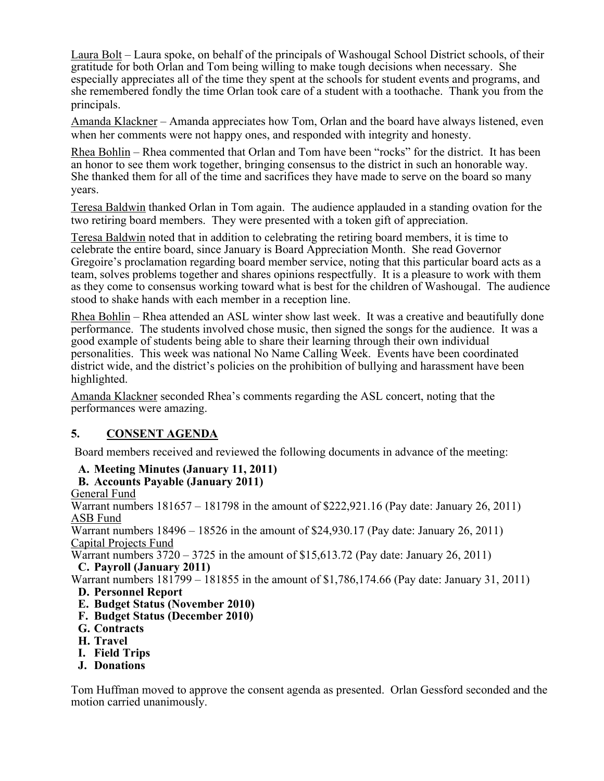Laura Bolt – Laura spoke, on behalf of the principals of Washougal School District schools, of their gratitude for both Orlan and Tom being willing to make tough decisions when necessary. She especially appreciates all of the time they spent at the schools for student events and programs, and she remembered fondly the time Orlan took care of a student with a toothache. Thank you from the principals.

Amanda Klackner – Amanda appreciates how Tom, Orlan and the board have always listened, even when her comments were not happy ones, and responded with integrity and honesty.

Rhea Bohlin – Rhea commented that Orlan and Tom have been "rocks" for the district. It has been an honor to see them work together, bringing consensus to the district in such an honorable way. She thanked them for all of the time and sacrifices they have made to serve on the board so many years.

Teresa Baldwin thanked Orlan in Tom again. The audience applauded in a standing ovation for the two retiring board members. They were presented with a token gift of appreciation.

Teresa Baldwin noted that in addition to celebrating the retiring board members, it is time to celebrate the entire board, since January is Board Appreciation Month. She read Governor Gregoire's proclamation regarding board member service, noting that this particular board acts as a team, solves problems together and shares opinions respectfully. It is a pleasure to work with them as they come to consensus working toward what is best for the children of Washougal. The audience stood to shake hands with each member in a reception line.

Rhea Bohlin – Rhea attended an ASL winter show last week. It was a creative and beautifully done performance. The students involved chose music, then signed the songs for the audience. It was a good example of students being able to share their learning through their own individual personalities. This week was national No Name Calling Week. Events have been coordinated district wide, and the district's policies on the prohibition of bullying and harassment have been highlighted.

Amanda Klackner seconded Rhea's comments regarding the ASL concert, noting that the performances were amazing.

## **5. CONSENT AGENDA**

Board members received and reviewed the following documents in advance of the meeting:

## **A. Meeting Minutes (January 11, 2011)**

### **B. Accounts Payable (January 2011)**

General Fund

Warrant numbers 181657 – 181798 in the amount of \$222,921.16 (Pay date: January 26, 2011) ASB Fund

Warrant numbers 18496 – 18526 in the amount of \$24,930.17 (Pay date: January 26, 2011) Capital Projects Fund

Warrant numbers 3720 – 3725 in the amount of \$15,613.72 (Pay date: January 26, 2011) **C. Payroll (January 2011)**

Warrant numbers 181799 – 181855 in the amount of \$1,786,174.66 (Pay date: January 31, 2011) **D. Personnel Report**

- 
- **E. Budget Status (November 2010) F. Budget Status (December 2010)**
- **G. Contracts**
- **H. Travel**
- 
- **I. Field Trips**
- **J. Donations**

Tom Huffman moved to approve the consent agenda as presented. Orlan Gessford seconded and the motion carried unanimously.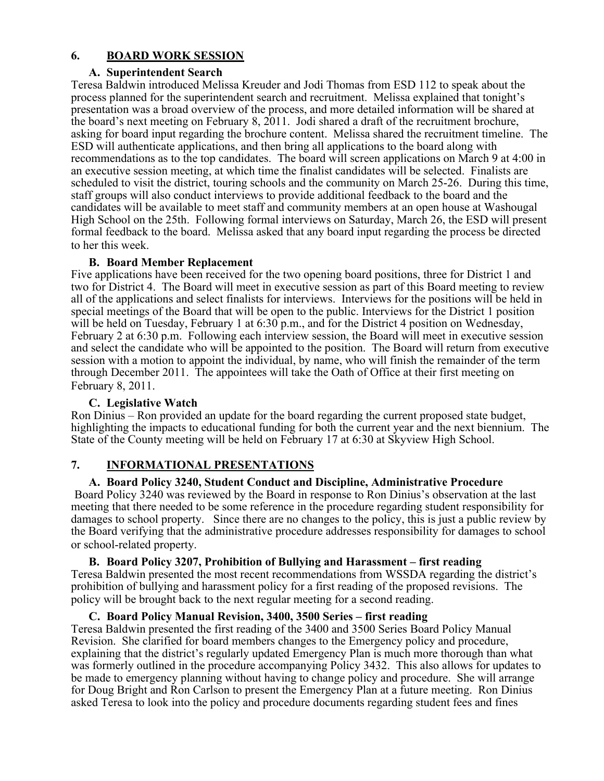### **6. BOARD WORK SESSION**

#### **A. Superintendent Search**

Teresa Baldwin introduced Melissa Kreuder and Jodi Thomas from ESD 112 to speak about the process planned for the superintendent search and recruitment. Melissa explained that tonight's presentation was a broad overview of the process, and more detailed information will be shared at the board's next meeting on February 8, 2011. Jodi shared a draft of the recruitment brochure, asking for board input regarding the brochure content. Melissa shared the recruitment timeline. The ESD will authenticate applications, and then bring all applications to the board along with recommendations as to the top candidates. The board will screen applications on March 9 at 4:00 in an executive session meeting, at which time the finalist candidates will be selected. Finalists are scheduled to visit the district, touring schools and the community on March 25-26. During this time, staff groups will also conduct interviews to provide additional feedback to the board and the candidates will be available to meet staff and community members at an open house at Washougal High School on the 25th. Following formal interviews on Saturday, March 26, the ESD will present formal feedback to the board. Melissa asked that any board input regarding the process be directed to her this week.

### **B. Board Member Replacement**

Five applications have been received for the two opening board positions, three for District 1 and two for District 4. The Board will meet in executive session as part of this Board meeting to review all of the applications and select finalists for interviews. Interviews for the positions will be held in special meetings of the Board that will be open to the public. Interviews for the District 1 position will be held on Tuesday, February 1 at 6:30 p.m., and for the District 4 position on Wednesday, February 2 at 6:30 p.m. Following each interview session, the Board will meet in executive session and select the candidate who will be appointed to the position. The Board will return from executive session with a motion to appoint the individual, by name, who will finish the remainder of the term through December 2011. The appointees will take the Oath of Office at their first meeting on February 8, 2011.

### **C. Legislative Watch**

Ron Dinius – Ron provided an update for the board regarding the current proposed state budget, highlighting the impacts to educational funding for both the current year and the next biennium. The State of the County meeting will be held on February 17 at 6:30 at Skyview High School.

### **7. INFORMATIONAL PRESENTATIONS**

### **A. Board Policy 3240, Student Conduct and Discipline, Administrative Procedure**

Board Policy 3240 was reviewed by the Board in response to Ron Dinius's observation at the last meeting that there needed to be some reference in the procedure regarding student responsibility for damages to school property. Since there are no changes to the policy, this is just a public review by the Board verifying that the administrative procedure addresses responsibility for damages to school or school-related property.

#### **B. Board Policy 3207, Prohibition of Bullying and Harassment – first reading**

Teresa Baldwin presented the most recent recommendations from WSSDA regarding the district's prohibition of bullying and harassment policy for a first reading of the proposed revisions. The policy will be brought back to the next regular meeting for a second reading.

#### **C. Board Policy Manual Revision, 3400, 3500 Series – first reading**

Teresa Baldwin presented the first reading of the 3400 and 3500 Series Board Policy Manual Revision. She clarified for board members changes to the Emergency policy and procedure, explaining that the district's regularly updated Emergency Plan is much more thorough than what was formerly outlined in the procedure accompanying Policy 3432. This also allows for updates to be made to emergency planning without having to change policy and procedure. She will arrange for Doug Bright and Ron Carlson to present the Emergency Plan at a future meeting. Ron Dinius asked Teresa to look into the policy and procedure documents regarding student fees and fines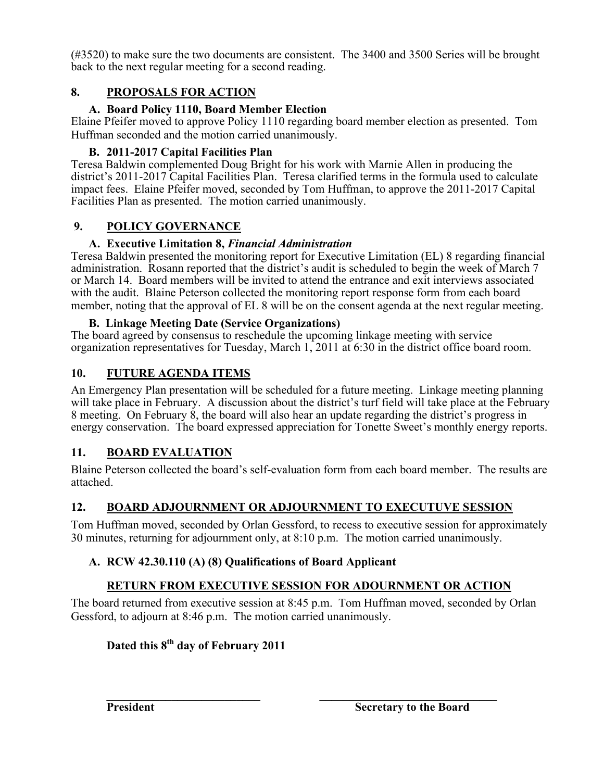(#3520) to make sure the two documents are consistent. The 3400 and 3500 Series will be brought back to the next regular meeting for a second reading.

# **8. PROPOSALS FOR ACTION**

## **A. Board Policy 1110, Board Member Election**

Elaine Pfeifer moved to approve Policy 1110 regarding board member election as presented. Tom Huffman seconded and the motion carried unanimously.

# **B. 2011-2017 Capital Facilities Plan**

Teresa Baldwin complemented Doug Bright for his work with Marnie Allen in producing the district's 2011-2017 Capital Facilities Plan. Teresa clarified terms in the formula used to calculate impact fees. Elaine Pfeifer moved, seconded by Tom Huffman, to approve the 2011-2017 Capital Facilities Plan as presented. The motion carried unanimously.

## **9. POLICY GOVERNANCE**

## **A. Executive Limitation 8,** *Financial Administration*

Teresa Baldwin presented the monitoring report for Executive Limitation (EL) 8 regarding financial administration. Rosann reported that the district's audit is scheduled to begin the week of March 7 or March 14. Board members will be invited to attend the entrance and exit interviews associated with the audit. Blaine Peterson collected the monitoring report response form from each board member, noting that the approval of EL 8 will be on the consent agenda at the next regular meeting.

## **B. Linkage Meeting Date (Service Organizations)**

The board agreed by consensus to reschedule the upcoming linkage meeting with service organization representatives for Tuesday, March 1, 2011 at 6:30 in the district office board room.

# **10. FUTURE AGENDA ITEMS**

An Emergency Plan presentation will be scheduled for a future meeting. Linkage meeting planning will take place in February. A discussion about the district's turf field will take place at the February 8 meeting. On February 8, the board will also hear an update regarding the district's progress in energy conservation. The board expressed appreciation for Tonette Sweet's monthly energy reports.

# **11. BOARD EVALUATION**

Blaine Peterson collected the board's self-evaluation form from each board member. The results are attached.

# **12. BOARD ADJOURNMENT OR ADJOURNMENT TO EXECUTUVE SESSION**

Tom Huffman moved, seconded by Orlan Gessford, to recess to executive session for approximately 30 minutes, returning for adjournment only, at 8:10 p.m. The motion carried unanimously.

# **A. RCW 42.30.110 (A) (8) Qualifications of Board Applicant**

# **RETURN FROM EXECUTIVE SESSION FOR ADOURNMENT OR ACTION**

The board returned from executive session at 8:45 p.m. Tom Huffman moved, seconded by Orlan Gessford, to adjourn at 8:46 p.m. The motion carried unanimously.

# **Dated this 8th day of February 2011**